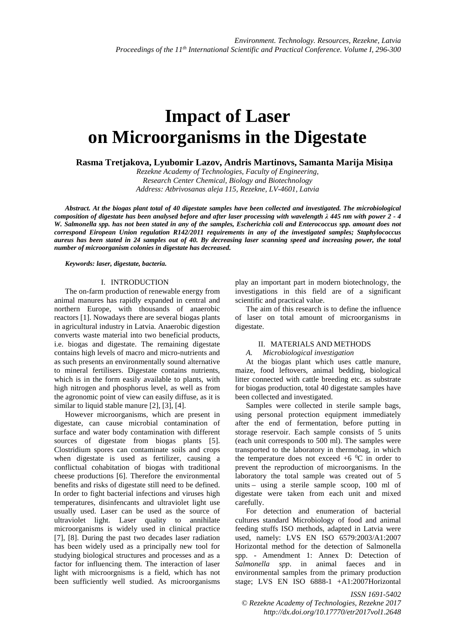# **Impact of Laser on Microorganisms in the Digestate**

**Rasma Tretjakova, Lyubomir Lazov, Andris Martinovs, Samanta Marija Misiņa** 

*Rezekne Academy of Technologies, Faculty of Engineering, Research Center Chemical, Biology and Biotechnology Address: Atbrivosanas aleja 115, Rezekne, LV-4601, Latvia* 

*Abstract. At the biogas plant total of 40 digestate samples have been collected and investigated. The microbiological composition of digestate has been analysed before and after laser processing with wavelength λ 445 nm with power 2 - 4 W. Salmonella spp. has not been stated in any of the samples, Escherichia coli and Enterococcus spp. amount does not correspond Eiropean Union regulation R142/2011 requirements in any of the investigated samples; Staphylococcus aureus has been stated in 24 samples out of 40. By decreasing laser scanning speed and increasing power, the total number of microorganism colonies in digestate has decreased.* 

*Keywords: laser, digestate, bacteria.* 

## I. INTRODUCTION

The on-farm production of renewable energy from animal manures has rapidly expanded in central and northern Europe, with thousands of anaerobic reactors [1]. Nowadays there are several biogas plants in agricultural industry in Latvia. Anaerobic digestion converts waste material into two beneficial products, i.e. biogas and digestate. The remaining digestate contains high levels of macro and micro-nutrients and as such presents an environmentally sound alternative to mineral fertilisers. Digestate contains nutrients, which is in the form easily available to plants, with high nitrogen and phosphorus level, as well as from the agronomic point of view can easily diffuse, as it is similar to liquid stable manure [2], [3], [4].

However microorganisms, which are present in digestate, can cause microbial contamination of surface and water body contamination with different sources of digestate from biogas plants [5]. Clostridium spores can contaminate soils and crops when digestate is used as fertilizer, causing a conflictual cohabitation of biogas with traditional cheese productions [6]. Therefore the environmental benefits and risks of digestate still need to be defined. In order to fight bacterial infections and viruses high temperatures, disinfencants and ultraviolet light use usually used. Laser can be used as the source of ultraviolet light. Laser quality to annihilate microorganisms is widely used in clinical practice [7], [8]. During the past two decades laser radiation has bееn widely used as а principally new tool for studying biological structures and processes and as а factor for influencing them. The interaction of laser light with microorgnisms is а field, which has not bееn sufficiently well studied. As microorganisms

рlау an important part in modern biotechnology, the investigations in this field are of a significant scientific and practical value.

The aim of this research is to define the influence of laser on total amount of microorganisms in digestate.

### II. MATERIALS AND METHODS

*A. Microbiological investigation*

At the biogas plant which uses cattle manure, maize, food leftovers, animal bedding, biological litter connected with cattle breeding etc. as substrate for biogas production, total 40 digestate samples have been collected and investigated.

Samples were collected in sterile sample bags, using personal protection equipment immediately after the end of fermentation, before putting in storage reservoir. Each sample consists of 5 units (each unit corresponds to 500 ml). The samples were transported to the laboratory in thermobag, in which the temperature does not exceed  $+6$  °C in order to prevent the reproduction of microorganisms. In the laboratory the total sample was created out of 5 units – using a sterile sample scoop, 100 ml of digestate were taken from each unit and mixed carefully.

For detection and enumeration of bacterial cultures standard Microbiology of food and animal feeding stuffs ISO methods, adapted in Latvia were used, namely: LVS EN ISO 6579:2003/A1:2007 Horizontal method for the detection of Salmonella spp. - Amendment 1: Annex D: Detection of *Salmonella spp*. in animal faeces and in environmental samples from the primary production stage; LVS EN ISO 6888-1 +A1:2007Horizontal

*ISSN 1691-5402 © Rezekne Academy of Technologies, Rezekne 2017 http://dx.doi.org/10.17770/etr2017vol1.2648*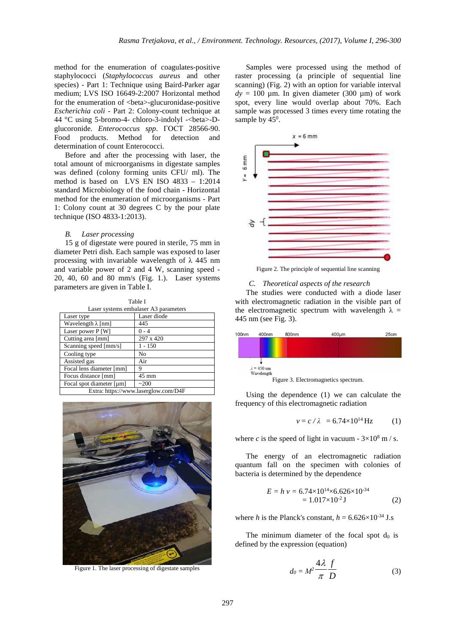method for the enumeration of coagulates-positive staphylococci (*Staphylococcus aureus* and other species) - Part 1: Technique using Baird-Parker agar medium; LVS ISO 16649-2:2007 Horizontal method for the enumeration of <br/>beta>-glucuronidase-positive *Escherichia coli* - Part 2: Colony-count technique at 44 °C using 5-bromo-4- chloro-3-indolyl -<beta>-Dglucoronide. *Enterococcus spp*. ГОСТ 28566-90. Food products. Method for detection and determination of count Enterococci.

Before and after the processing with laser, the total amount of microorganisms in digestate samples was defined (colony forming units CFU/ ml). The method is based on LVS EN ISO 4833 – 1:2014 standard Microbiology of the food chain - Horizontal method for the enumeration of microorganisms - Part 1: Colony count at 30 degrees C by the pour plate technique (ISO 4833-1:2013).

#### *B. Laser processing*

15 g of digestate were poured in sterile, 75 mm in diameter Petri dish. Each sample was exposed to laser processing with invariable wavelength of λ 445 nm and variable power of 2 and 4 W, scanning speed - 20, 40, 60 and 80 mm/s (Fig. 1.). Laser systems parameters are given in Table I.

Table I Laser systems embalaser A3 parameters Laser type Laser diode Wavelength  $\lambda$  [nm] 445<br>
Laser nower P [W] 0 - 4 Laser power P [W] Cutting area [mm] 297 x 420<br>Scanning speed [mm/s] 1 - 150 Scanning speed [mm/s] Cooling type No Assisted gas Air Focal lens diameter [mm] 9 Focus distance [mm] 45 mm Focal spot diameter  $[\mu m]$   $\sim$  200 Extra: https://www.laserglow.com/D4F



Figure 1. The laser processing of digestate samples

Samples were processed using the method of raster processing (a principle of sequential line scanning) (Fig. 2) with an option for variable interval  $dy = 100 \mu m$ . In given diameter (300  $\mu$ m) of work spot, every line would overlap about 70%. Each sample was processed 3 times every time rotating the sample by  $45^0$ .



Figure 2. The principle of sequential line scanning

### *C. Theoretical aspects of the research*

The studies were conducted with a diode laser with electromagnetic radiation in the visible part of the electromagnetic spectrum with wavelength  $\lambda =$ 445 nm (see Fig. 3).

| 00nm | 400nm              | 800nm | $400 \mu m$                          | 25cm |
|------|--------------------|-------|--------------------------------------|------|
|      |                    |       |                                      |      |
|      |                    |       |                                      |      |
|      |                    |       |                                      |      |
|      | $\lambda$ = 450 nm |       |                                      |      |
|      | Wavelength         |       |                                      |      |
|      |                    |       | Figure 3. Electromagnetics spectrum. |      |

Using the dependence (1) we can calculate the frequency of this electromagnetic radiation

$$
v = c / \lambda = 6.74 \times 10^{14} \text{ Hz}
$$
 (1)

where *c* is the speed of light in vacuum -  $3 \times 10^8$  m / s.

The energy of an electromagnetic radiation quantum fall on the specimen with colonies of bacteria is determined by the dependence

$$
E = h v = 6.74 \times 10^{14} \times 6.626 \times 10^{-34}
$$
  
= 1.017×10<sup>-2</sup> J (2)

where *h* is the Planck's constant,  $h = 6.626 \times 10^{-34}$  J.s

The minimum diameter of the focal spot  $d_0$  is defined by the expression (equation)

$$
d_0 = M^2 \frac{4\lambda}{\pi} \frac{f}{D} \tag{3}
$$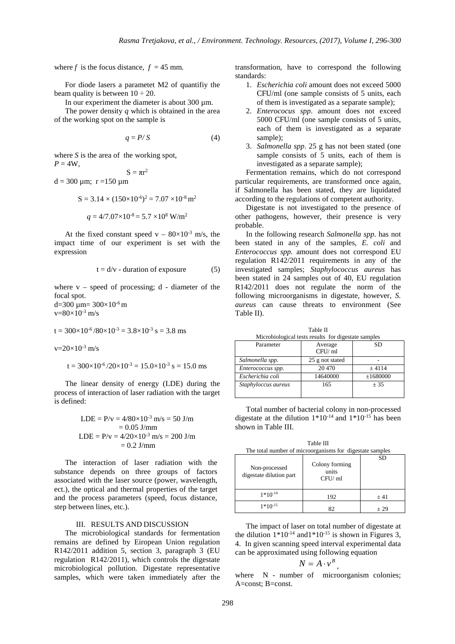where *f* is the focus distance,  $f = 45$  mm.

For diode lasers a parametet M2 of quantifiy the beam quality is between  $10 \div 20$ .

In our experiment the diameter is about  $300 \mu m$ .

The power density *q* which is obtained in the area of the working spot on the sample is

$$
q = P/S \tag{4}
$$

where *S* is the area of the working spot,  $P = 4W$ ,

 $S = \pi r^2$  $d = 300 \mu m$ ; r = 150  $\mu$ m

$$
S = 3.14 \times (150 \times 10^{-6})^2 = 7.07 \times 10^{-8} \text{ m}^2
$$

$$
q = 4/7.07 \times 10^{-8} = 5.7 \times 10^8 \text{ W/m}^2
$$

At the fixed constant speed  $v - 80 \times 10^{-3}$  m/s, the impact time of our experiment is set with the expression

$$
t = d/v - duration of exposure \tag{5}
$$

where  $v - speed$  of processing;  $d - diameter$  of the focal spot. d=300  $\mu$ m= 300×10<sup>-6</sup> m

 $v=80\times10^{-3}$  m/s

 $t = 300 \times 10^{-6} / 80 \times 10^{-3} = 3.8 \times 10^{-3}$  s = 3.8 ms

 $v=20\times10^{-3}$  m/s

$$
t = 300 \times 10^{-6} / 20 \times 10^{-3} = 15.0 \times 10^{-3} \text{ s} = 15.0 \text{ ms}
$$

The linear density of energy (LDE) during the process of interaction of laser radiation with the target is defined:

LDE = P/v = 
$$
4/80 \times 10^{-3}
$$
 m/s = 50 J/m  
= 0.05 J/mm  
LDE = P/v =  $4/20 \times 10^{-3}$  m/s = 200 J/m  
= 0.2 J/mm

The interaction of laser radiation with the substance depends on three groups of factors associated with the laser source (power, wavelength, ect.), the optical and thermal properties of the target and the process parameters (speed, focus distance, step between lines, etc.).

### III. RESULTS AND DISCUSSION

The microbiological standards for fermentation remains are defined by Eiropean Union regulation R142/2011 addition 5, section 3, paragraph 3 (EU regulation R142/2011), which controls the digestate microbiological pollution. Digestate representative samples, which were taken immediately after the transformation, have to correspond the following standards:

- 1. *Escherichia coli* amount does not exceed 5000 CFU/ml (one sample consists of 5 units, each of them is investigated as a separate sample);
- 2. *Enterococus spp*. amount does not exceed 5000 CFU/ml (one sample consists of 5 units, each of them is investigated as a separate sample);
- 3. *Salmonella spp*. 25 g has not been stated (one sample consists of 5 units, each of them is investigated as a separate sample);

Fermentation remains, which do not correspond particular requirements, are transformed once again, if Salmonella has been stated, they are liquidated according to the regulations of competent authority.

Digestate is not investigated to the presence of other pathogens, however, their presence is very probable.

In the following research *Salmonella spp*. has not been stated in any of the samples, *E. coli* and *Enterococcus spp.* amount does not correspond EU regulation R142/2011 requirements in any of the investigated samples; *Staphylococcus aureus* has been stated in 24 samples out of 40, EU regulation R142/2011 does not regulate the norm of the following microorganisms in digestate, however, *S. aureus* can cause threats to environment (See Table II).

| 141116 H                                            |           |  |  |  |  |
|-----------------------------------------------------|-----------|--|--|--|--|
| Microbiological tests results for digestate samples |           |  |  |  |  |
| Average<br>CFU/ml                                   | <b>SD</b> |  |  |  |  |
| 25 g not stated                                     |           |  |  |  |  |
| 20 470                                              | ± 4114    |  |  |  |  |
| 14640000                                            | ±1680000  |  |  |  |  |
| 165                                                 | $+35$     |  |  |  |  |
|                                                     |           |  |  |  |  |

Table II

Total number of bacterial colony in non-processed digestate at the dilution  $1*10^{-14}$  and  $1*10^{-15}$  has been shown in Table III.

Table III for digestate samples

| Non-processed<br>digestate dilution part | The total number of intercorganisms for digestate samples<br>Colony forming<br>units<br>CFU/ml | <b>SD</b> |
|------------------------------------------|------------------------------------------------------------------------------------------------|-----------|
| $1*10^{-14}$                             | 192                                                                                            | ± 41      |
| $1*10^{-15}$                             | 87                                                                                             | $+29$     |

The impact of laser on total number of digestate at the dilution  $1*10^{-14}$  and  $1*10^{-15}$  is shown in Figures 3, 4. In given scanning speed interval experimental data can be approximated using following equation

$$
N=A\cdot v^B,
$$

where N - number of microorganism colonies; A=const; B=const.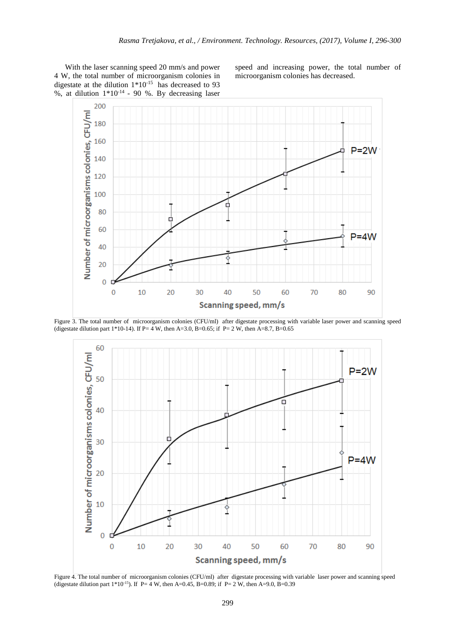With the laser scanning speed 20 mm/s and power 4 W, the total number of microorganism colonies in digestate at the dilution 1\*10-15 has decreased to 93 %, at dilution  $1*10^{-14}$  - 90 %. By decreasing laser

speed and increasing power, the total number of microorganism colonies has decreased.







Figure 4. The total number of microorganism colonies (CFU/ml) after digestate processing with variable laser power and scanning speed (digestate dilution part 1\*10<sup>-15</sup>). If P=  $\frac{3}{4}$  W, then A=0.45, B=0.89; if P= 2 W, then A=9.0, B=0.39